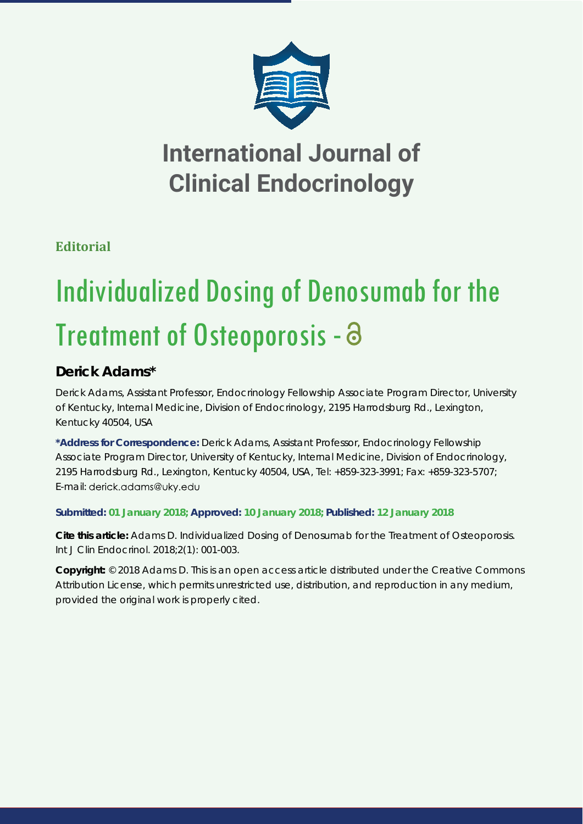

# **International Journal of Clinical Endocrinology**

**Editorial**

# Individualized Dosing of Denosumab for the Treatment of Osteoporosis - a

# **Derick Adams\***

*Derick Adams, Assistant Professor, Endocrinology Fellowship Associate Program Director, University of Kentucky, Internal Medicine, Division of Endocrinology, 2195 Harrodsburg Rd., Lexington, Kentucky 40504, USA*

**\*Address for Correspondence:** Derick Adams, Assistant Professor, Endocrinology Fellowship Associate Program Director, University of Kentucky, Internal Medicine, Division of Endocrinology, 2195 Harrodsburg Rd., Lexington, Kentucky 40504, USA, Tel: +859-323-3991; Fax: +859-323-5707; E-mail: derick.adams@uky.edu

## **Submitted: 01 January 2018; Approved: 10 January 2018; Published: 12 January 2018**

**Cite this article:** Adams D. Individualized Dosing of Denosumab for the Treatment of Osteoporosis. Int J Clin Endocrinol. 2018;2(1): 001-003.

**Copyright:** © 2018 Adams D. This is an open access article distributed under the Creative Commons Attribution License, which permits unrestricted use, distribution, and reproduction in any medium, provided the original work is properly cited.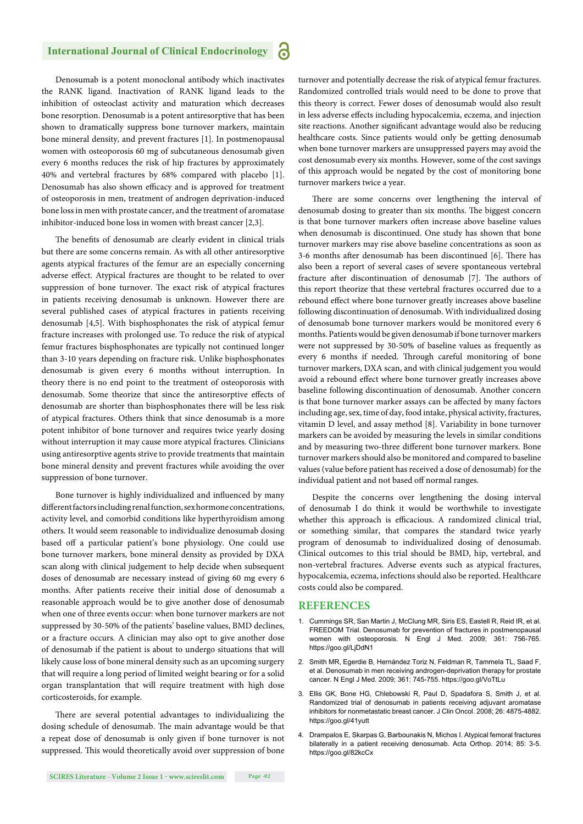### **International Journal of Clinical Endocrinology**

Denosumab is a potent monoclonal antibody which inactivates the RANK ligand. Inactivation of RANK ligand leads to the inhibition of osteoclast activity and maturation which decreases bone resorption. Denosumab is a potent antiresorptive that has been shown to dramatically suppress bone turnover markers, maintain bone mineral density, and prevent fractures [1]. In postmenopausal women with osteoporosis 60 mg of subcutaneous denosumab given every 6 months reduces the risk of hip fractures by approximately 40% and vertebral fractures by 68% compared with placebo [1]. Denosumab has also shown efficacy and is approved for treatment of osteoporosis in men, treatment of androgen deprivation-induced bone loss in men with prostate cancer, and the treatment of aromatase inhibitor-induced bone loss in women with breast cancer [2,3].

The benefits of denosumab are clearly evident in clinical trials but there are some concerns remain. As with all other antiresorptive agents atypical fractures of the femur are an especially concerning adverse effect. Atypical fractures are thought to be related to over suppression of bone turnover. The exact risk of atypical fractures in patients receiving denosumab is unknown. However there are several published cases of atypical fractures in patients receiving denosumab [4,5]. With bisphosphonates the risk of atypical femur fracture increases with prolonged use. To reduce the risk of atypical femur fractures bisphosphonates are typically not continued longer than 3-10 years depending on fracture risk. Unlike bisphosphonates denosumab is given every 6 months without interruption. In theory there is no end point to the treatment of osteoporosis with denosumab. Some theorize that since the antiresorptive effects of denosumab are shorter than bisphosphonates there will be less risk of atypical fractures. Others think that since denosumab is a more potent inhibitor of bone turnover and requires twice yearly dosing without interruption it may cause more atypical fractures. Clinicians using antiresorptive agents strive to provide treatments that maintain bone mineral density and prevent fractures while avoiding the over suppression of bone turnover.

Bone turnover is highly individualized and influenced by many different factors including renal function, sex hormone concentrations, activity level, and comorbid conditions like hyperthyroidism among others. It would seem reasonable to individualize denosumab dosing based off a particular patient's bone physiology. One could use bone turnover markers, bone mineral density as provided by DXA scan along with clinical judgement to help decide when subsequent doses of denosumab are necessary instead of giving 60 mg every 6 months. After patients receive their initial dose of denosumab a reasonable approach would be to give another dose of denosumab when one of three events occur: when bone turnover markers are not suppressed by 30-50% of the patients' baseline values, BMD declines, or a fracture occurs. A clinician may also opt to give another dose of denosumab if the patient is about to undergo situations that will likely cause loss of bone mineral density such as an upcoming surgery that will require a long period of limited weight bearing or for a solid organ transplantation that will require treatment with high dose corticosteroids, for example.

There are several potential advantages to individualizing the dosing schedule of denosumab. The main advantage would be that a repeat dose of denosumab is only given if bone turnover is not suppressed. This would theoretically avoid over suppression of bone

**SCIRES Literature - Volume 2 Issue 1 - www.scireslit.com Page -02**

turnover and potentially decrease the risk of atypical femur fractures. Randomized controlled trials would need to be done to prove that this theory is correct. Fewer doses of denosumab would also result in less adverse effects including hypocalcemia, eczema, and injection site reactions. Another significant advantage would also be reducing healthcare costs. Since patients would only be getting denosumab when bone turnover markers are unsuppressed payers may avoid the cost denosumab every six months. However, some of the cost savings of this approach would be negated by the cost of monitoring bone turnover markers twice a year.

There are some concerns over lengthening the interval of denosumab dosing to greater than six months. The biggest concern is that bone turnover markers often increase above baseline values when denosumab is discontinued. One study has shown that bone turnover markers may rise above baseline concentrations as soon as 3-6 months after denosumab has been discontinued [6]. There has also been a report of several cases of severe spontaneous vertebral fracture after discontinuation of denosumab [7]. The authors of this report theorize that these vertebral fractures occurred due to a rebound effect where bone turnover greatly increases above baseline following discontinuation of denosumab. With individualized dosing of denosumab bone turnover markers would be monitored every 6 months. Patients would be given denosumab if bone turnover markers were not suppressed by 30-50% of baseline values as frequently as every 6 months if needed. Through careful monitoring of bone turnover markers, DXA scan, and with clinical judgement you would avoid a rebound effect where bone turnover greatly increases above baseline following discontinuation of denosumab. Another concern is that bone turnover marker assays can be affected by many factors including age, sex, time of day, food intake, physical activity, fractures, vitamin D level, and assay method [8]. Variability in bone turnover markers can be avoided by measuring the levels in similar conditions and by measuring two-three different bone turnover markers. Bone turnover markers should also be monitored and compared to baseline values (value before patient has received a dose of denosumab) for the individual patient and not based off normal ranges.

Despite the concerns over lengthening the dosing interval of denosumab I do think it would be worthwhile to investigate whether this approach is efficacious. A randomized clinical trial, or something similar, that compares the standard twice yearly program of denosumab to individualized dosing of denosumab. Clinical outcomes to this trial should be BMD, hip, vertebral, and non-vertebral fractures. Adverse events such as atypical fractures, hypocalcemia, eczema, infections should also be reported. Healthcare costs could also be compared.

#### **REFERENCES**

- 1. Cummings SR, San Martin J, McClung MR, Siris ES, Eastell R, Reid IR, et al. FREEDOM Trial. Denosumab for prevention of fractures in postmenopausal women with osteoporosis. N Engl J Med. 2009; 361: 756-765. https://goo.gl/LjDdN1
- 2. Smith MR, Egerdie B, Hernández Toriz N, Feldman R, Tammela TL, Saad F, et al. Denosumab in men receiving androgen-deprivation therapy for prostate cancer. N Engl J Med. 2009; 361: 745-755. https://goo.gl/VoTtLu
- 3. Ellis GK, Bone HG, Chlebowski R, Paul D, Spadafora S, Smith J, et al. Randomized trial of denosumab in patients receiving adjuvant aromatase inhibitors for nonmetastatic breast cancer. J Clin Oncol. 2008; 26: 4875-4882. https://goo.gl/41yutt
- 4. Drampalos E, Skarpas G, Barbounakis N, Michos I. Atypical femoral fractures bilaterally in a patient receiving denosumab. Acta Orthop. 2014; 85: 3-5. https://goo.gl/82kcCx